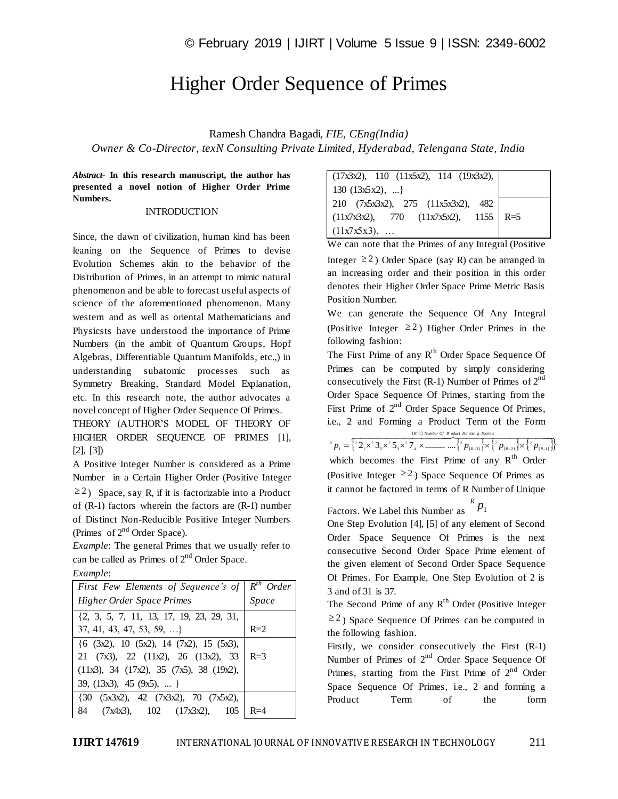## Higher Order Sequence of Primes

Ramesh Chandra Bagadi, *FIE, CEng(India) Owner & Co-Director, texN Consulting Private Limited, Hyderabad, Telengana State, India*

*Abstract*- **In this research manuscript, the author has presented a novel notion of Higher Order Prime Numbers.**

## **INTRODUCTION**

Since, the dawn of civilization, human kind has been leaning on the Sequence of Primes to devise Evolution Schemes akin to the behavior of the Distribution of Primes, in an attempt to mimic natural phenomenon and be able to forecast useful aspects of science of the aforementioned phenomenon. Many western and as well as oriental Mathematicians and Physicsts have understood the importance of Prime Numbers (in the ambit of Quantum Groups, Hopf Algebras, Differentiable Quantum Manifolds, etc.,) in understanding subatomic processes such as Symmetry Breaking, Standard Model Explanation, etc. In this research note, the author advocates a novel concept of Higher Order Sequence Of Primes.

THEORY (AUTHOR'S MODEL OF THEORY OF HIGHER ORDER SEQUENCE OF PRIMES [1], [2], [3])

A Positive Integer Number is considered as a Prime Number in a Certain Higher Order (Positive Integer  $\geq$  2) Space, say R, if it is factorizable into a Product of (R-1) factors wherein the factors are (R-1) number of Distinct Non-Reducible Positive Integer Numbers (Primes of 2<sup>nd</sup> Order Space).

*Example*: The general Primes that we usually refer to can be called as Primes of  $2<sup>nd</sup>$  Order Space.

| Example: |
|----------|
|----------|

| First Few Elements of Sequence's of $R^{th}$ Order                               |       |
|----------------------------------------------------------------------------------|-------|
| <b>Higher Order Space Primes</b>                                                 | Space |
| $\{2, 3, 5, 7, 11, 13, 17, 19, 23, 29, 31,$                                      |       |
| $37, 41, 43, 47, 53, 59, \ldots$                                                 | $R=2$ |
| $\{6 \text{ } (3x2), 10 \text{ } (5x2), 14 \text{ } (7x2), 15 \text{ } (5x3),\}$ |       |
| 21 $(7x3)$ , 22 $(11x2)$ , 26 $(13x2)$ , 33 R=3                                  |       |
| $(11x3), 34 (17x2), 35 (7x5), 38 (19x2),$                                        |       |
| 39, (13x3), 45 (9x5),                                                            |       |
| (30 (5x3x2), 42 (7x3x2), 70 (7x5x2),                                             |       |
| 84 (7x4x3), 102 (17x3x2), 105                                                    |       |

| $(17x3x2)$ , 110 $(11x5x2)$ , 114 $(19x3x2)$ , |  |
|------------------------------------------------|--|
| 130 $(13x5x2), $                               |  |
| 210 (7x5x3x2), 275 (11x5x3x2), 482             |  |
| $(11x7x3x2)$ , 770 $(11x7x5x2)$ , 1155   R=5   |  |
| $(11x7x5x3), \ldots$                           |  |

We can note that the Primes of any Integral (Positive

Integer  $\geq 2$ ) Order Space (say R) can be arranged in an increasing order and their position in this order denotes their Higher Order Space Prime Metric Basis Position Number.

We can generate the Sequence Of Any Integral (Positive Integer  $\geq 2$ ) Higher Order Primes in the following fashion:

The First Prime of any  $R^{th}$  Order Space Sequence Of Primes can be computed by simply considering consecutively the First (R-1) Number of Primes of  $2<sup>nd</sup>$ Order Space Sequence Of Primes, starting from the First Prime of  $2^{nd}$  Order Space Sequence Of Primes, i.e., 2 and Forming a Product Term of the Form

> *R*  $(R-1)$  *Number Of* **Pr** *oduct For*  $\min g$  *Factors* -1) Number Of Product For min

 $\{2_1 \times 2_2 \times 2_3 \times 2_5 \times 2_4 \times \dots \times \{2_p\}_{(k-3)} \} \times \{2_p\}_{(k-2)} \} \times \{2_p\}_{(k-1)}$  $R^R p_1 = \frac{2^2}{3} 2^2 \times 3^2 5^2 7^4 \times \dots \dots \dots \dots \cdot \frac{2^2}{3} p_{(R-3)} \times \frac{2^2}{3} p_{(R-2)} \times \frac{2^2}{3} p_{(R-1)}$ which becomes the First Prime of any  $R^{th}$  Order (Positive Integer  $\geq 2$ ) Space Sequence Of Primes as it cannot be factored in terms of R Number of Unique

Factors. We Label this Number as  $P_1$ 

One Step Evolution [4], [5] of any element of Second Order Space Sequence Of Primes is the next consecutive Second Order Space Prime element of the given element of Second Order Space Sequence Of Primes. For Example, One Step Evolution of 2 is 3 and of 31 is 37.

The Second Prime of any  $R^{th}$  Order (Positive Integer  $\geq$  2) Space Sequence Of Primes can be computed in the following fashion.

Firstly, we consider consecutively the First (R-1) Number of Primes of  $2<sup>nd</sup>$  Order Space Sequence Of Primes, starting from the First Prime of  $2<sup>nd</sup>$  Order Space Sequence Of Primes, i.e., 2 and forming a Product Term of the form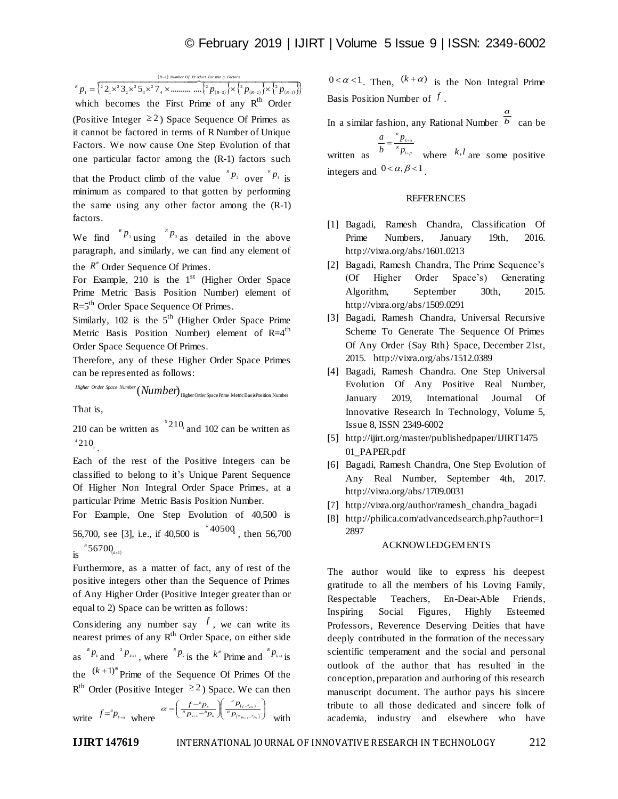$$
P_1 = \left\{ \frac{(R-1) \text{ Number of P order } For \text{ min } g \text{ } Rictors} {2 \cdot \sqrt{2} \cdot 3 \cdot 3 \cdot 2^2 \cdot 5 \cdot 3 \cdot 2^2 \cdot 7 \cdot 4 \cdot 2^2 \cdot 2^2 \cdot 2^2 \cdot 2^2 \cdot 2^2 \cdot 2^2 \cdot 2^2 \cdot 2^2 \cdot 2^2 \cdot 2^2 \cdot 2^2 \cdot 2^2 \cdot 2^2 \cdot 2^2 \cdot 2^2 \cdot 2^2 \cdot 2^2 \cdot 2^2 \cdot 2^2 \cdot 2^2 \cdot 2^2 \cdot 2^2 \cdot 2^2 \cdot 2^2 \cdot 2^2 \cdot 2^2 \cdot 2^2 \cdot 2^2 \cdot 2^2 \cdot 2^2 \cdot 2^2 \cdot 2^2 \cdot 2^2 \cdot 2^2 \cdot 2^2 \cdot 2^2 \cdot 2^2 \cdot 2^2 \cdot 2^2 \cdot 2^2 \cdot 2^2 \cdot 2^2 \cdot 2^2 \cdot 2^2 \cdot 2^2 \cdot 2^2 \cdot 2^2 \cdot 2^2 \cdot 2^2 \cdot 2^2 \cdot 2^2 \cdot 2^2 \cdot 2^2 \cdot 2^2 \cdot 2^2 \cdot 2^2 \cdot 2^2 \cdot 2^2 \cdot 2^2 \cdot 2^2 \cdot 2^2 \cdot 2^2 \cdot 2^2 \cdot 2^2 \cdot 2^2 \cdot 2^2 \cdot 2^2 \cdot 2^2 \cdot 2^2 \cdot 2^2 \cdot 2^2 \cdot 2^2 \cdot 2^2 \cdot 2^2 \cdot 2^2 \cdot 2^2 \cdot 2^2 \cdot 2^2 \cdot 2^2 \cdot 2^2 \cdot 2^2 \cdot 2^2 \cdot 2^2 \cdot 2^2 \cdot 2^2 \cdot 2^2 \cdot 2^2 \cdot 2^2 \cdot 2^2 \cdot 2^2 \cdot 2^2 \cdot 2^2 \cdot 2^2 \cdot 2^2 \cdot 2^2 \cdot 2^2 \cdot 2^2 \cdot 2^2 \cdot 2^2 \cdot 2^2 \cdot 2^2 \cdot 2^2 \cdot 2^2 \cdot 2^2 \cdot 2^2 \cdot 2^2 \cdot 2^2 \cdot 2^2 \cdot 2^2 \cdot 2^2 \cdot 2^2 \cdot 2^2 \cdot 2
$$

which becomes the First Prime of any  $R^{th}$  Order (Positive Integer  $\geq 2$ ) Space Sequence Of Primes as it cannot be factored in terms of R Number of Unique Factors. We now cause One Step Evolution of that one particular factor among the (R-1) factors such that the Product climb of the value  $P_2$  over  $P_1$  is minimum as compared to that gotten by performing the same using any other factor among the (R-1) factors.

We find  $P_3$  using  $P_2$  as detailed in the above paragraph, and similarly, we can find any element of the  $R^*$  Order Sequence Of Primes.

For Example, 210 is the  $1<sup>st</sup>$  (Higher Order Space Prime Metric Basis Position Number) element of R=5<sup>th</sup> Order Space Sequence Of Primes.

Similarly,  $102$  is the  $5<sup>th</sup>$  (Higher Order Space Prime Metric Basis Position Number) element of  $R=4$ <sup>th</sup> Order Space Sequence Of Primes.

Therefore, any of these Higher Order Space Primes can be represented as follows:

 $\it{Higher Order Space Number} (Number)$   $H$ igher Order Space Phine Metric BasisPosition Number

That is,

210 can be written as  $10^2$  and 102 can be written as  $10_{\frac{1}{2}}$ 

Each of the rest of the Positive Integers can be classified to belong to it's Unique Parent Sequence Of Higher Non Integral Order Space Primes, at a particular Prime Metric Basis Position Number.

For Example, One Step Evolution of 40,500 is 56,700, see [3], i.e., if 40,500 is <sup>\*</sup>40500<sub>d</sub>, then 56,700  $\int_{1}^{R} 5670Q_{\text{d+1}}$ 

Furthermore, as a matter of fact, any of rest of the positive integers other than the Sequence of Primes of Any Higher Order (Positive Integer greater than or equal to 2) Space can be written as follows:

Considering any number say  $f$ , we can write its nearest primes of any R<sup>th</sup> Order Space, on either side as  ${}^{k}P_{k}$  and  ${}^{k}P_{k+1}$ , where  ${}^{k}P_{k}$  is the  $k^{m}$  Prime and  ${}^{k}P_{k+1}$  is the  $(k+1)^n$  Prime of the Sequence Of Primes Of the  $R^{th}$  Order (Positive Integer  $\geq 2$ ) Space. We can then

write 
$$
f = {}^k p_{k+a}
$$
 where  $\alpha = \left(\frac{f - {}^k p_k}{{}^k p_{k+1} - {}^k p_k}\right) \left(\frac{{}^k p_{(f - {}^s p_k)}}{{}^k p_{(e_{p_{k+1}} - e_{p_k})}}\right)$  with

 $0 < \alpha < 1$ . Then,  $(k + \alpha)$  is the Non Integral Prime Basis Position Number of *f* .

In a similar fashion, any Rational Number *b a* can be

written as  $b^{R} p_{\mu}$  where  $k, l$  are some positive  $\frac{a}{b} = \frac{p_{k+a}}{b}$ integers and  $0 < \alpha, \beta < 1$ .

## **REFERENCES**

- [1] Bagadi, Ramesh Chandra, Classification Of Prime Numbers, January 19th, 2016. http://vixra.org/abs/1601.0213
- [2] Bagadi, Ramesh Chandra, The Prime Sequence's (Of Higher Order Space's) Generating Algorithm, September 30th, 2015. http://vixra.org/abs/1509.0291
- [3] Bagadi, Ramesh Chandra, Universal Recursive Scheme To Generate The Sequence Of Primes Of Any Order {Say Rth} Space, December 21st, 2015. http://vixra.org/abs/1512.0389
- [4] Bagadi, Ramesh Chandra. One Step Universal Evolution Of Any Positive Real Number, January 2019, International Journal Of Innovative Research In Technology, Volume 5, Issue 8, ISSN 2349-6002
- [5] http://ijirt.org/master/publishedpaper/IJIRT1475 01\_PAPER.pdf
- [6] Bagadi, Ramesh Chandra, One Step Evolution of Any Real Number, September 4th, 2017. http://vixra.org/abs/1709.0031
- [7] http://vixra.org/author/ramesh\_chandra\_bagadi
- [8] http://philica.com/advancedsearch.php?author=1 2897

## ACKNOWLEDGEMENTS

The author would like to express his deepest gratitude to all the members of his Loving Family, Respectable Teachers, En-Dear-Able Friends, Inspiring Social Figures, Highly Esteemed Professors, Reverence Deserving Deities that have deeply contributed in the formation of the necessary scientific temperament and the social and personal outlook of the author that has resulted in the conception, preparation and authoring of this research manuscript document. The author pays his sincere tribute to all those dedicated and sincere folk of academia, industry and elsewhere who have